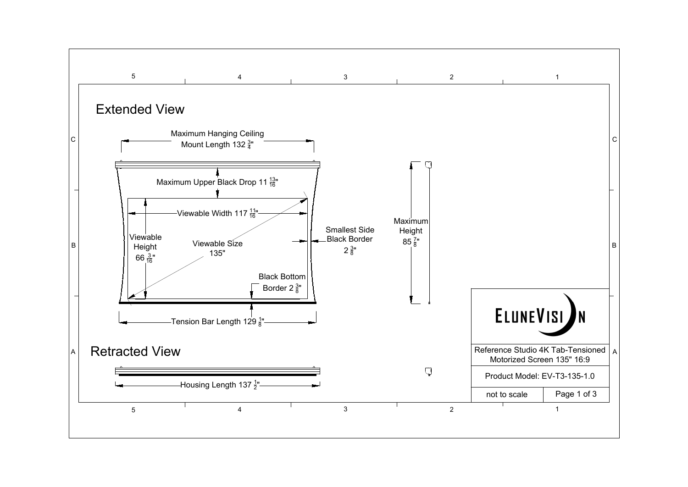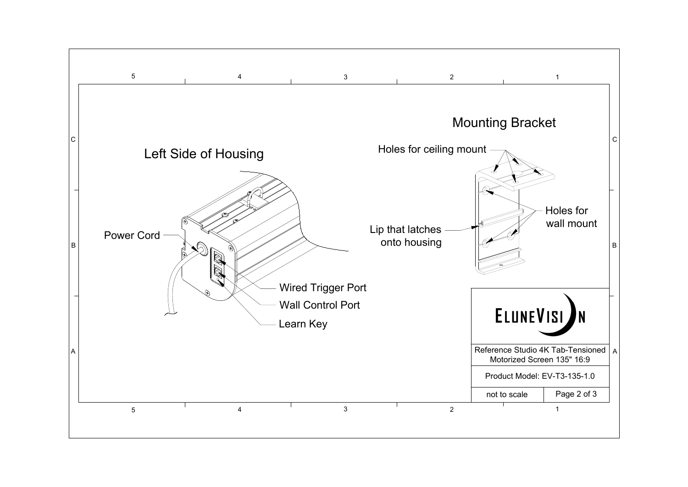

## Left Side of Housing

 $\mathbb{R}$ 



Learn Key Wall Control Port Wired Trigger Port

## $\frac{4}{3}$  and  $\frac{2}{1}$ Mounting Bracket Holes for ceiling mount Lip that latches onto housing ELUNEVISI Reference Studio 4K Tab-Tensioned | A | Motorized Screen 135" 16:9 Product Model: EV-T3-135-1.0 not to scale Page 2 of 3  $\frac{4}{3}$  and  $\frac{2}{1}$